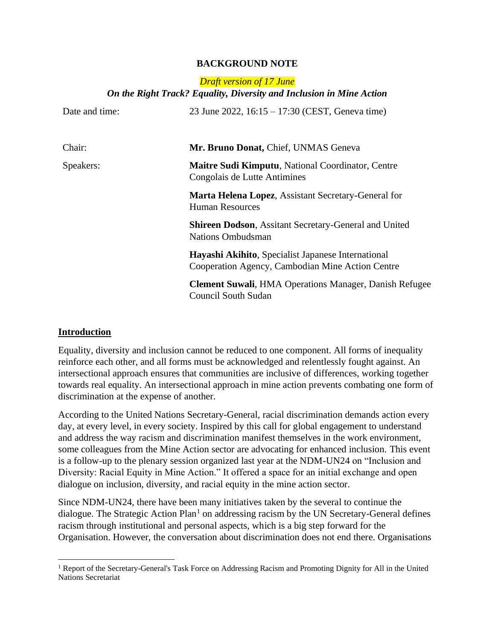### **BACKGROUND NOTE**

# *Draft version of 17 June On the Right Track? Equality, Diversity and Inclusion in Mine Action*

| Date and time: | 23 June 2022, $16:15 - 17:30$ (CEST, Geneva time)                                                      |
|----------------|--------------------------------------------------------------------------------------------------------|
| Chair:         | Mr. Bruno Donat, Chief, UNMAS Geneva                                                                   |
| Speakers:      | <b>Maitre Sudi Kimputu, National Coordinator, Centre</b><br>Congolais de Lutte Antimines               |
|                | Marta Helena Lopez, Assistant Secretary-General for<br><b>Human Resources</b>                          |
|                | <b>Shireen Dodson, Assitant Secretary-General and United</b><br><b>Nations Ombudsman</b>               |
|                | Hayashi Akihito, Specialist Japanese International<br>Cooperation Agency, Cambodian Mine Action Centre |
|                | <b>Clement Suwali, HMA Operations Manager, Danish Refugee</b><br><b>Council South Sudan</b>            |

### **Introduction**

Equality, diversity and inclusion cannot be reduced to one component. All forms of inequality reinforce each other, and all forms must be acknowledged and relentlessly fought against. An intersectional approach ensures that communities are inclusive of differences, working together towards real equality. An intersectional approach in mine action prevents combating one form of discrimination at the expense of another.

According to the United Nations Secretary-General, racial discrimination demands action every day, at every level, in every society. Inspired by this call for global engagement to understand and address the way racism and discrimination manifest themselves in the work environment, some colleagues from the Mine Action sector are advocating for enhanced inclusion. This event is a follow-up to the plenary session organized last year at the NDM-UN24 on "Inclusion and Diversity: Racial Equity in Mine Action." It offered a space for an initial exchange and open dialogue on inclusion, diversity, and racial equity in the mine action sector.

Since NDM-UN24, there have been many initiatives taken by the several to continue the dialogue. The Strategic Action  $Plan<sup>1</sup>$  on addressing racism by the UN Secretary-General defines racism through institutional and personal aspects, which is a big step forward for the Organisation. However, the conversation about discrimination does not end there. Organisations

<sup>&</sup>lt;sup>1</sup> Report of the Secretary-General's Task Force on Addressing Racism and Promoting Dignity for All in the United Nations Secretariat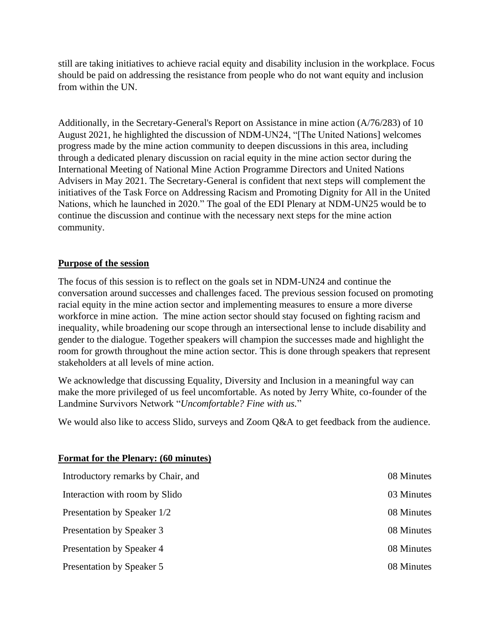still are taking initiatives to achieve racial equity and disability inclusion in the workplace. Focus should be paid on addressing the resistance from people who do not want equity and inclusion from within the UN.

Additionally, in the Secretary-General's Report on Assistance in mine action (A/76/283) of 10 August 2021, he highlighted the discussion of NDM-UN24, "[The United Nations] welcomes progress made by the mine action community to deepen discussions in this area, including through a dedicated plenary discussion on racial equity in the mine action sector during the International Meeting of National Mine Action Programme Directors and United Nations Advisers in May 2021. The Secretary-General is confident that next steps will complement the initiatives of the Task Force on Addressing Racism and Promoting Dignity for All in the United Nations, which he launched in 2020." The goal of the EDI Plenary at NDM-UN25 would be to continue the discussion and continue with the necessary next steps for the mine action community.

# **Purpose of the session**

The focus of this session is to reflect on the goals set in NDM-UN24 and continue the conversation around successes and challenges faced. The previous session focused on promoting racial equity in the mine action sector and implementing measures to ensure a more diverse workforce in mine action. The mine action sector should stay focused on fighting racism and inequality, while broadening our scope through an intersectional lense to include disability and gender to the dialogue. Together speakers will champion the successes made and highlight the room for growth throughout the mine action sector. This is done through speakers that represent stakeholders at all levels of mine action.

We acknowledge that discussing Equality, Diversity and Inclusion in a meaningful way can make the more privileged of us feel uncomfortable. As noted by Jerry White, co-founder of the Landmine Survivors Network "*Uncomfortable? Fine with us.*"

We would also like to access Slido, surveys and Zoom Q&A to get feedback from the audience.

| Introductory remarks by Chair, and | 08 Minutes |
|------------------------------------|------------|
| Interaction with room by Slido     | 03 Minutes |
| Presentation by Speaker 1/2        | 08 Minutes |
| Presentation by Speaker 3          | 08 Minutes |
| Presentation by Speaker 4          | 08 Minutes |
| Presentation by Speaker 5          | 08 Minutes |

## **Format for the Plenary: (60 minutes)**